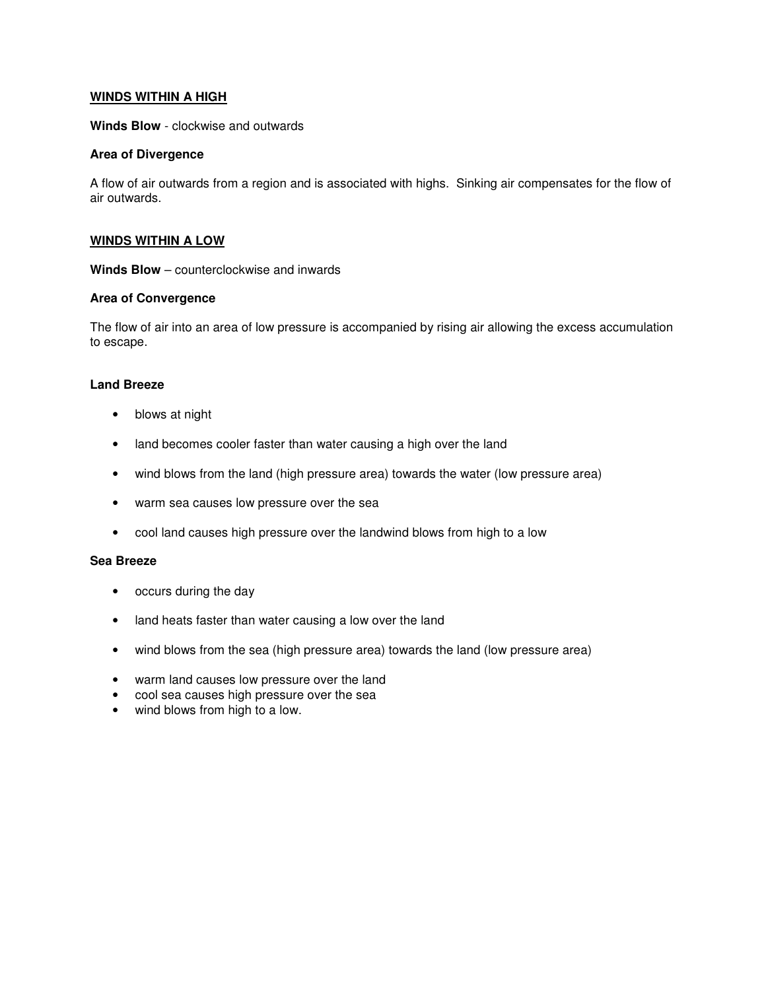# **WINDS WITHIN A HIGH**

**Winds Blow** - clockwise and outwards

## **Area of Divergence**

A flow of air outwards from a region and is associated with highs. Sinking air compensates for the flow of air outwards.

## **WINDS WITHIN A LOW**

**Winds Blow** – counterclockwise and inwards

#### **Area of Convergence**

The flow of air into an area of low pressure is accompanied by rising air allowing the excess accumulation to escape.

# **Land Breeze**

- blows at night
- land becomes cooler faster than water causing a high over the land
- wind blows from the land (high pressure area) towards the water (low pressure area)
- warm sea causes low pressure over the sea
- cool land causes high pressure over the landwind blows from high to a low

#### **Sea Breeze**

- occurs during the day
- land heats faster than water causing a low over the land
- wind blows from the sea (high pressure area) towards the land (low pressure area)
- warm land causes low pressure over the land
- cool sea causes high pressure over the sea
- wind blows from high to a low.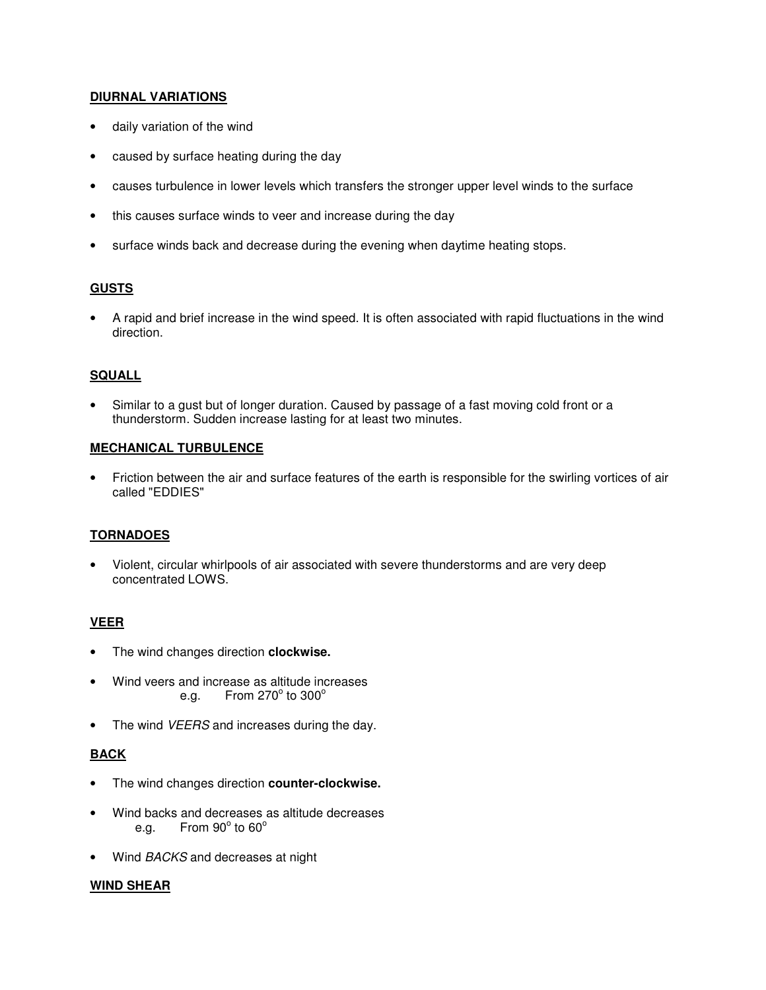# **DIURNAL VARIATIONS**

- daily variation of the wind
- caused by surface heating during the day
- causes turbulence in lower levels which transfers the stronger upper level winds to the surface
- this causes surface winds to veer and increase during the day
- surface winds back and decrease during the evening when daytime heating stops.

# **GUSTS**

• A rapid and brief increase in the wind speed. It is often associated with rapid fluctuations in the wind direction.

# **SQUALL**

Similar to a gust but of longer duration. Caused by passage of a fast moving cold front or a thunderstorm. Sudden increase lasting for at least two minutes.

## **MECHANICAL TURBULENCE**

• Friction between the air and surface features of the earth is responsible for the swirling vortices of air called "EDDIES"

## **TORNADOES**

• Violent, circular whirlpools of air associated with severe thunderstorms and are very deep concentrated LOWS.

# **VEER**

- The wind changes direction **clockwise.**
- Wind veers and increase as altitude increases e.g. From 270 $^{\circ}$  to 300 $^{\circ}$
- The wind VEERS and increases during the day.

## **BACK**

- The wind changes direction **counter-clockwise.**
- Wind backs and decreases as altitude decreases e.g. From  $90^\circ$  to  $60^\circ$
- Wind BACKS and decreases at night

## **WIND SHEAR**